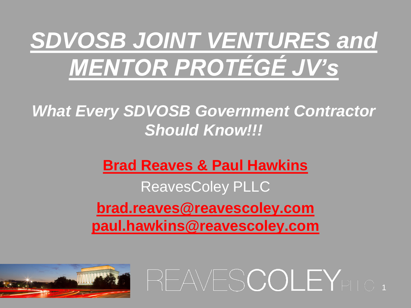## *SDVOSB JOINT VENTURES and MENTOR PROTÉGÉ JV's*

#### *What Every SDVOSB Government Contractor Should Know!!!*

#### **Brad Reaves & Paul Hawkins** ReavesColey PLLC **brad.reaves@reavescoley.com paul.hawkins@reavescoley.com**

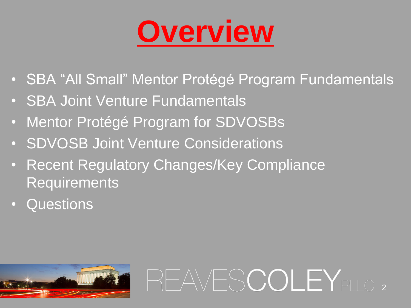

• SBA "All Small" Mentor Protégé Program Fundamentals

- SBA Joint Venture Fundamentals
- Mentor Protégé Program for SDVOSBs
- SDVOSB Joint Venture Considerations
- Recent Regulatory Changes/Key Compliance **Requirements**
- Questions

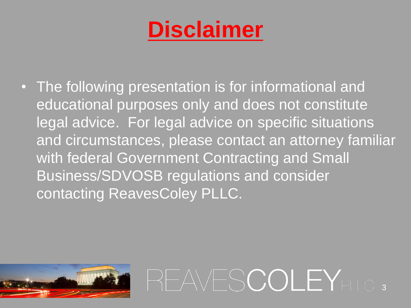### **Disclaimer**

• The following presentation is for informational and educational purposes only and does not constitute legal advice. For legal advice on specific situations and circumstances, please contact an attorney familiar with federal Government Contracting and Small Business/SDVOSB regulations and consider contacting ReavesColey PLLC.



REAVESCOLEY<sub>PLLC</sub>,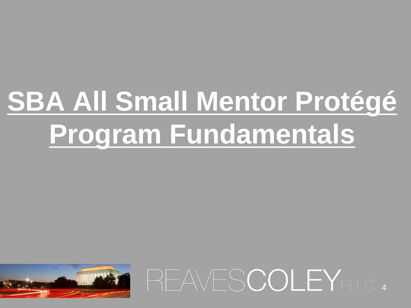# **SBA All Small Mentor Protégé Program Fundamentals**

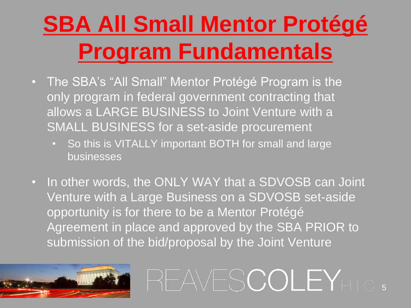## **SBA All Small Mentor Protégé Program Fundamentals**

- The SBA's "All Small" Mentor Protégé Program is the only program in federal government contracting that allows a LARGE BUSINESS to Joint Venture with a SMALL BUSINESS for a set-aside procurement
	- So this is VITALLY important BOTH for small and large businesses
- In other words, the ONLY WAY that a SDVOSB can Joint Venture with a Large Business on a SDVOSB set-aside opportunity is for there to be a Mentor Protégé Agreement in place and approved by the SBA PRIOR to submission of the bid/proposal by the Joint Venture

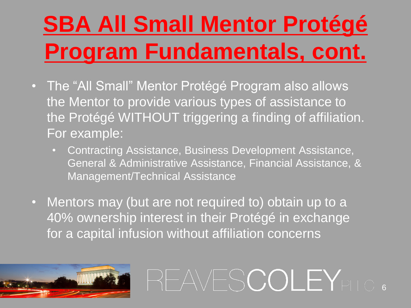## **SBA All Small Mentor Protégé Program Fundamentals, cont.**

- The "All Small" Mentor Protégé Program also allows the Mentor to provide various types of assistance to the Protégé WITHOUT triggering a finding of affiliation. For example:
	- Contracting Assistance, Business Development Assistance, General & Administrative Assistance, Financial Assistance, & Management/Technical Assistance
- Mentors may (but are not required to) obtain up to a 40% ownership interest in their Protégé in exchange for a capital infusion without affiliation concerns

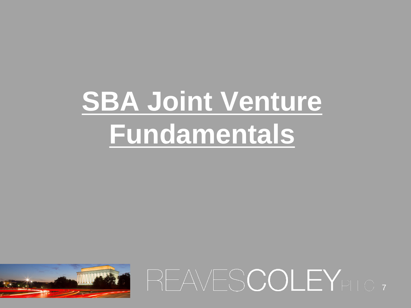# **SBA Joint Venture Fundamentals**

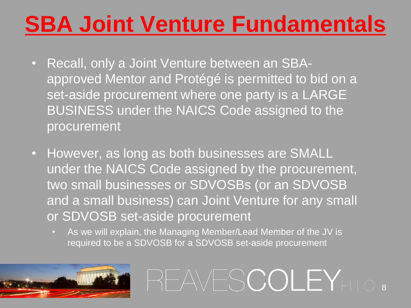#### **SBA Joint Venture Fundamentals**

- Recall, only a Joint Venture between an SBAapproved Mentor and Protégé is permitted to bid on a set-aside procurement where one party is a LARGE BUSINESS under the NAICS Code assigned to the procurement
- However, as long as both businesses are SMALL under the NAICS Code assigned by the procurement, two small businesses or SDVOSBs (or an SDVOSB and a small business) can Joint Venture for any small or SDVOSB set-aside procurement
	- As we will explain, the Managing Member/Lead Member of the JV is required to be a SDVOSB for a SDVOSB set-aside procurement

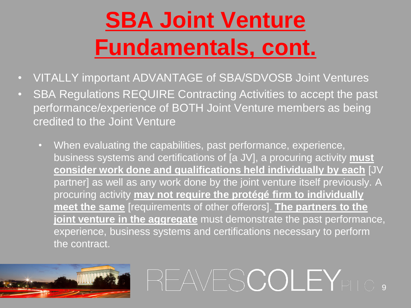## **SBA Joint Venture Fundamentals, cont.**

- VITALLY important ADVANTAGE of SBA/SDVOSB Joint Ventures
- SBA Regulations REQUIRE Contracting Activities to accept the past performance/experience of BOTH Joint Venture members as being credited to the Joint Venture
	- When evaluating the capabilities, past performance, experience, business systems and certifications of [a JV], a procuring activity **must consider work done and qualifications held individually by each** [JV partner] as well as any work done by the joint venture itself previously. A procuring activity **may not require the protégé firm to individually meet the same** [requirements of other offerors]. **The partners to the joint venture in the aggregate** must demonstrate the past performance, experience, business systems and certifications necessary to perform the contract.

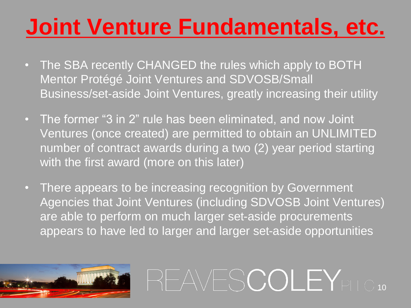### **Joint Venture Fundamentals, etc.**

- The SBA recently CHANGED the rules which apply to BOTH Mentor Protégé Joint Ventures and SDVOSB/Small Business/set-aside Joint Ventures, greatly increasing their utility
- The former "3 in 2" rule has been eliminated, and now Joint Ventures (once created) are permitted to obtain an UNLIMITED number of contract awards during a two (2) year period starting with the first award (more on this later)
- There appears to be increasing recognition by Government Agencies that Joint Ventures (including SDVOSB Joint Ventures) are able to perform on much larger set-aside procurements appears to have led to larger and larger set-aside opportunities

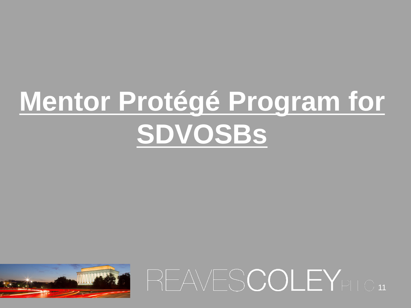# **Mentor Protégé Program for SDVOSBs**



REAVESCOLEY<sub>PLLC</sub> 11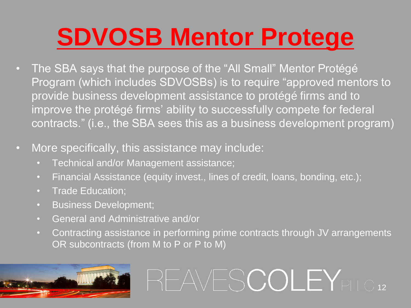## **SDVOSB Mentor Protege**

- The SBA says that the purpose of the "All Small" Mentor Protégé Program (which includes SDVOSBs) is to require "approved mentors to provide business development assistance to protégé firms and to improve the protégé firms' ability to successfully compete for federal contracts." (i.e., the SBA sees this as a business development program)
- More specifically, this assistance may include:
	- Technical and/or Management assistance;
	- Financial Assistance (equity invest., lines of credit, loans, bonding, etc.);
	- Trade Education;
	- Business Development;
	- General and Administrative and/or
	- Contracting assistance in performing prime contracts through JV arrangements OR subcontracts (from M to P or P to M)

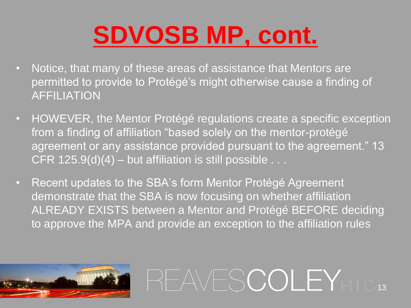## **SDVOSB MP, cont.**

- Notice, that many of these areas of assistance that Mentors are permitted to provide to Protégé's might otherwise cause a finding of AFFILIATION
- HOWEVER, the Mentor Protégé regulations create a specific exception from a finding of affiliation "based solely on the mentor-protégé agreement or any assistance provided pursuant to the agreement." 13 CFR  $125.9(d)(4)$  – but affiliation is still possible . . .
- Recent updates to the SBA's form Mentor Protégé Agreement demonstrate that the SBA is now focusing on whether affiliation ALREADY EXISTS between a Mentor and Protégé BEFORE deciding to approve the MPA and provide an exception to the affiliation rules

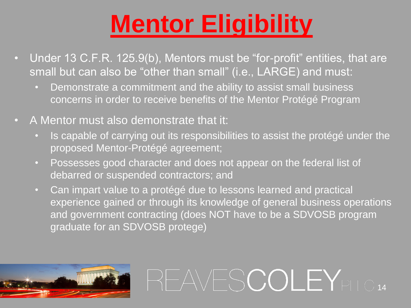## **Mentor Eligibility**

- Under 13 C.F.R. 125.9(b), Mentors must be "for-profit" entities, that are small but can also be "other than small" (i.e., LARGE) and must:
	- Demonstrate a commitment and the ability to assist small business concerns in order to receive benefits of the Mentor Protégé Program
- A Mentor must also demonstrate that it:
	- Is capable of carrying out its responsibilities to assist the protégé under the proposed Mentor-Protégé agreement;
	- Possesses good character and does not appear on the federal list of debarred or suspended contractors; and
	- Can impart value to a protégé due to lessons learned and practical experience gained or through its knowledge of general business operations and government contracting (does NOT have to be a SDVOSB program graduate for an SDVOSB protege)

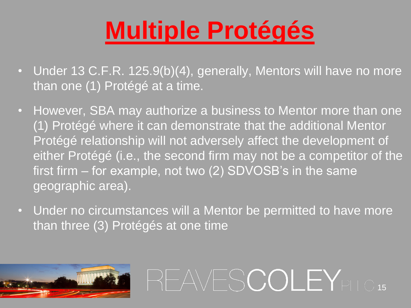## **Multiple Protégés**

- Under 13 C.F.R. 125.9(b)(4), generally, Mentors will have no more than one (1) Protégé at a time.
- However, SBA may authorize a business to Mentor more than one (1) Protégé where it can demonstrate that the additional Mentor Protégé relationship will not adversely affect the development of either Protégé (i.e., the second firm may not be a competitor of the first firm – for example, not two (2) SDVOSB's in the same geographic area).
- Under no circumstances will a Mentor be permitted to have more than three (3) Protégés at one time

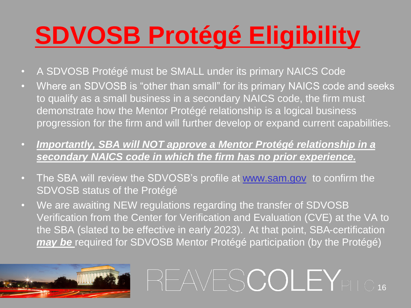## **SDVOSB Protégé Eligibility**

- A SDVOSB Protégé must be SMALL under its primary NAICS Code
- Where an SDVOSB is "other than small" for its primary NAICS code and seeks to qualify as a small business in a secondary NAICS code, the firm must demonstrate how the Mentor Protégé relationship is a logical business progression for the firm and will further develop or expand current capabilities.
- *Importantly, SBA will NOT approve a Mentor Protégé relationship in a secondary NAICS code in which the firm has no prior experience.*
- The SBA will review the SDVOSB's profile at [www.sam.gov](http://www.sam.gov/) to confirm the SDVOSB status of the Protégé
- We are awaiting NEW regulations regarding the transfer of SDVOSB Verification from the Center for Verification and Evaluation (CVE) at the VA to the SBA (slated to be effective in early 2023). At that point, SBA-certification *may be* required for SDVOSB Mentor Protégé participation (by the Protégé)

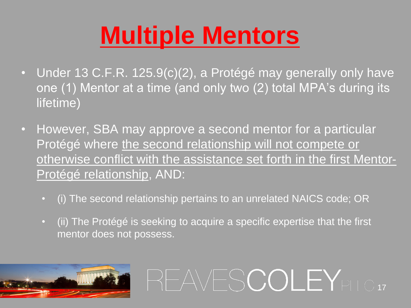## **Multiple Mentors**

- Under 13 C.F.R. 125.9(c)(2), a Protégé may generally only have one (1) Mentor at a time (and only two (2) total MPA's during its lifetime)
- However, SBA may approve a second mentor for a particular Protégé where the second relationship will not compete or otherwise conflict with the assistance set forth in the first Mentor-Protégé relationship, AND:
	- (i) The second relationship pertains to an unrelated NAICS code; OR
	- (ii) The Protégé is seeking to acquire a specific expertise that the first mentor does not possess.

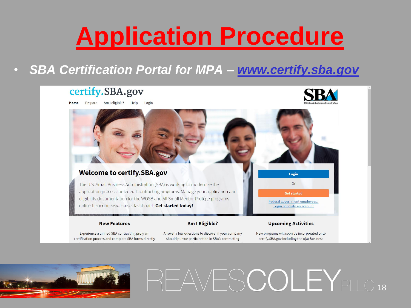## **Application Procedure**

#### • *SBA Certification Portal for MPA – [www.certify.sba.gov](http://www.certify.sba.gov/)*

#### certify.SBA.gov

Prepare Am I eligible? Help Home Login



#### **Welcome to certify.SBA.gov** Login The U.S. Small Business Administration (SBA) is working to modernize the **Or** application process for federal contracting programs. Manage your application and **Get started** eligibility documentation for the WOSB and All Small Mentor-Protégé programs Federal government employees: online from our easy-to-use dashboard. Get started today! Login or create an account

#### **New Features**

#### **Am I Eligible?**

Experience a unified SBA contracting program certification process and complete SBA forms directly Answer a few questions to discover if your company should pursue participation in SBA's contracting

New programs will soon be incorporated onto certify.SBA.gov including the 8(a) Business

**Upcoming Activities** 

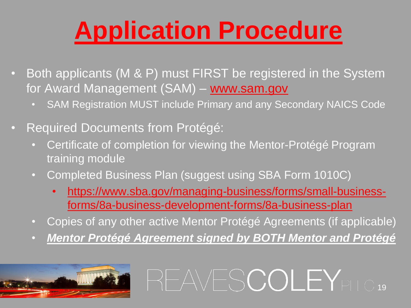## **Application Procedure**

- Both applicants (M & P) must FIRST be registered in the System for Award Management (SAM) – [www.sam.gov](http://www.certify.sba.gov/)
	- SAM Registration MUST include Primary and any Secondary NAICS Code
- Required Documents from Protégé:
	- Certificate of completion for viewing the Mentor-Protégé Program training module
	- Completed Business Plan (suggest using SBA Form 1010C)
		- [https://www.sba.gov/managing-business/forms/small-business](https://www.sba.gov/managing-business/forms/small-business-forms/8a-business-development-forms/8a-business-plan)forms/8a-business-development-forms/8a-business-plan
	- Copies of any other active Mentor Protégé Agreements (if applicable)
	- *Mentor Protégé Agreement signed by BOTH Mentor and Protégé*

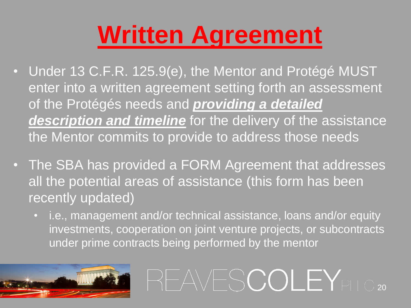## **Written Agreement**

- Under 13 C.F.R. 125.9(e), the Mentor and Protégé MUST enter into a written agreement setting forth an assessment of the Protégés needs and *providing a detailed description and timeline* for the delivery of the assistance the Mentor commits to provide to address those needs
- The SBA has provided a FORM Agreement that addresses all the potential areas of assistance (this form has been recently updated)
	- i.e., management and/or technical assistance, loans and/or equity investments, cooperation on joint venture projects, or subcontracts under prime contracts being performed by the mentor

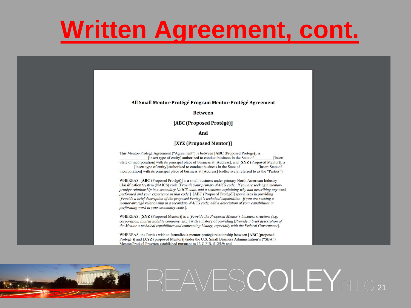### **Written Agreement, cont.**

#### All Small Mentor-Protégé Program Mentor-Protégé Agreement

**Between** 

[ABC (Proposed Protégé)]

And

[XYZ (Proposed Mentor)]

This Mentor-Protégé Agreement ("Agreement") is between [ABC (Proposed Protégé)], a [insert type of entity] authorized to conduct business in the State of **Tinsert** State of incorporation with its principal place of business at [Address], and [XYZ (Proposed Mentor)], a [insert type of entity] authorized to conduct business in the State of **Tinsert State of** incorporation] with its principal place of business at [Address] (collectively referred to as the "Parties").

WHEREAS, [ABC (Proposed Protégé)] is a small business under primary North American Industry Classification System (NAICS) code [*Provide your primary NAICS code. If you are seeking a mentor*protégé relationship in a secondary NAICS code, add a sentence explaining why and describing any work performed and your experience in that code.] [ABC (Proposed Protégé)] specializes in providing [Provide a brief description of the proposed Protégé's technical capabilities. If you are seeking a mentor-protégé relationship in a secondary NAICS code, add a description of your capabilities in performing work in your secondary code.].

WHEREAS, [XYZ (Proposed Mentor)] is a [Provide the Proposed Mentor's business structure (e.g. corporation, limited liability company, etc.)] with a history of providing [Provide a brief description of the Mentor's technical capabilities and contracting history, especially with the Federal Government].

WHEREAS, the Parties wish to formalize a mentor-protégé relationship between [ABC (proposed Protégé)] and [XYZ (proposed Mentor)] under the U.S. Small Business Administration's ("SBA") Mentor/Protégé Program established pursuant to 13 C.F.R. 8125.9: and

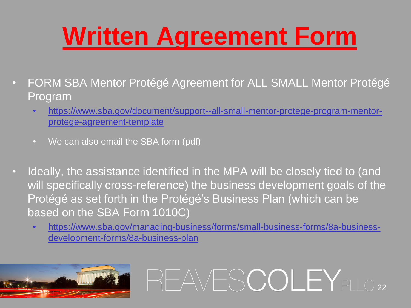## **Written Agreement Form**

- FORM SBA Mentor Protégé Agreement for ALL SMALL Mentor Protégé Program
	- [https://www.sba.gov/document/support--all-small-mentor-protege-program-mentor](https://www.sba.gov/document/support--all-small-mentor-protege-program-mentor-protege-agreement-template)protege-agreement-template
	- We can also email the SBA form (pdf)
- Ideally, the assistance identified in the MPA will be closely tied to (and will specifically cross-reference) the business development goals of the Protégé as set forth in the Protégé's Business Plan (which can be based on the SBA Form 1010C)
	- [https://www.sba.gov/managing-business/forms/small-business-forms/8a-business](https://www.sba.gov/managing-business/forms/small-business-forms/8a-business-development-forms/8a-business-plan)development-forms/8a-business-plan

REAVESCOLEY<sub>PLLC22</sub>

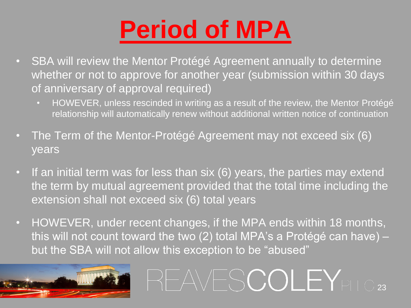## **Period of MPA**

- SBA will review the Mentor Protégé Agreement annually to determine whether or not to approve for another year (submission within 30 days of anniversary of approval required)
	- HOWEVER, unless rescinded in writing as a result of the review, the Mentor Protégé relationship will automatically renew without additional written notice of continuation
- The Term of the Mentor-Protégé Agreement may not exceed six (6) years
- If an initial term was for less than six (6) years, the parties may extend the term by mutual agreement provided that the total time including the extension shall not exceed six (6) total years
- HOWEVER, under recent changes, if the MPA ends within 18 months, this will not count toward the two (2) total MPA's a Protégé can have) – but the SBA will not allow this exception to be "abused"

REAVESCOLEY<sub>PLLC23</sub>

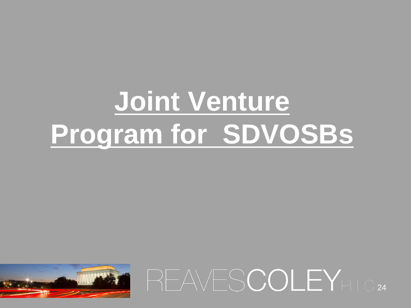# **Joint Venture Program for SDVOSBs**

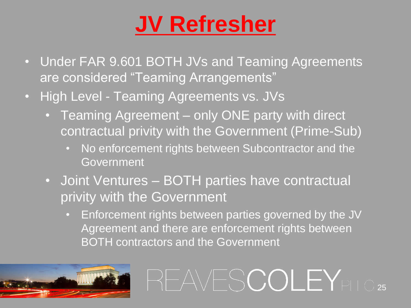### **JV Refresher**

- Under FAR 9.601 BOTH JVs and Teaming Agreements are considered "Teaming Arrangements"
- High Level Teaming Agreements vs. JVs
	- Teaming Agreement only ONE party with direct contractual privity with the Government (Prime-Sub)
		- No enforcement rights between Subcontractor and the Government
	- Joint Ventures BOTH parties have contractual privity with the Government
		- Enforcement rights between parties governed by the JV Agreement and there are enforcement rights between BOTH contractors and the Government

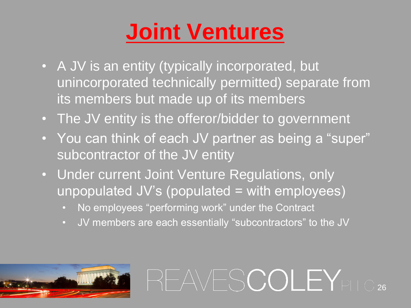### **Joint Ventures**

- A JV is an entity (typically incorporated, but unincorporated technically permitted) separate from its members but made up of its members
- The JV entity is the offeror/bidder to government
- You can think of each JV partner as being a "super" subcontractor of the JV entity
- Under current Joint Venture Regulations, only  $unpopulated JV's (populated = with employees)$ 
	- No employees "performing work" under the Contract
	- JV members are each essentially "subcontractors" to the JV

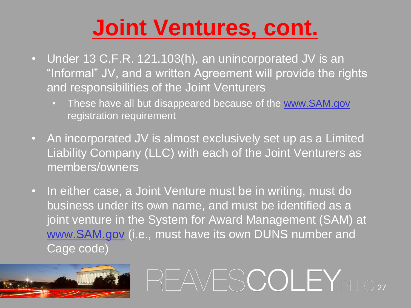#### **Joint Ventures, cont.**

- Under 13 C.F.R. 121.103(h), an unincorporated JV is an "Informal" JV, and a written Agreement will provide the rights and responsibilities of the Joint Venturers
	- These have all but disappeared because of the [www.SAM.gov](http://www.sam.gov/) registration requirement
- An incorporated JV is almost exclusively set up as a Limited Liability Company (LLC) with each of the Joint Venturers as members/owners
- In either case, a Joint Venture must be in writing, must do business under its own name, and must be identified as a joint venture in the System for Award Management (SAM) at [www.SAM.gov](http://www.sam.gov/) (i.e., must have its own DUNS number and Cage code)

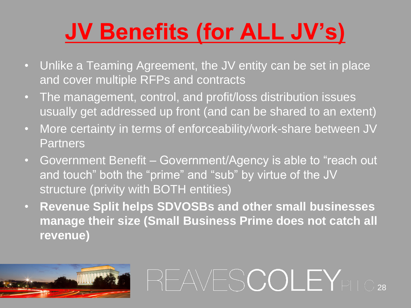## **JV Benefits (for ALL JV's)**

- Unlike a Teaming Agreement, the JV entity can be set in place and cover multiple RFPs and contracts
- The management, control, and profit/loss distribution issues usually get addressed up front (and can be shared to an extent)
- More certainty in terms of enforceability/work-share between JV **Partners**
- Government Benefit Government/Agency is able to "reach out and touch" both the "prime" and "sub" by virtue of the JV structure (privity with BOTH entities)
- **Revenue Split helps SDVOSBs and other small businesses manage their size (Small Business Prime does not catch all revenue)**

REAVESCOLEY<sub>PLLC28</sub>

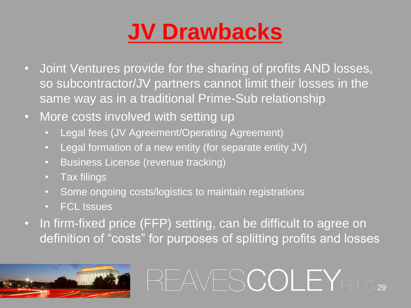### **JV Drawbacks**

- Joint Ventures provide for the sharing of profits AND losses, so subcontractor/JV partners cannot limit their losses in the same way as in a traditional Prime-Sub relationship
- More costs involved with setting up
	- Legal fees (JV Agreement/Operating Agreement)
	- Legal formation of a new entity (for separate entity JV)
	- Business License (revenue tracking)
	- Tax filings
	- Some ongoing costs/logistics to maintain registrations
	- FCL Issues
- In firm-fixed price (FFP) setting, can be difficult to agree on definition of "costs" for purposes of splitting profits and losses

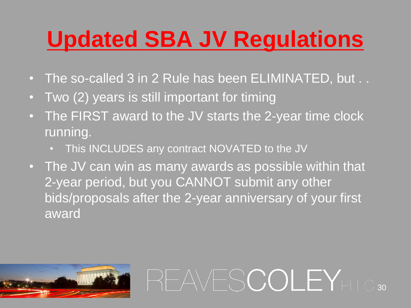### **Updated SBA JV Regulations**

- The so-called 3 in 2 Rule has been ELIMINATED, but . .
- Two (2) years is still important for timing
- The FIRST award to the JV starts the 2-year time clock running.
	- This INCLUDES any contract NOVATED to the JV
- The JV can win as many awards as possible within that 2-year period, but you CANNOT submit any other bids/proposals after the 2-year anniversary of your first award

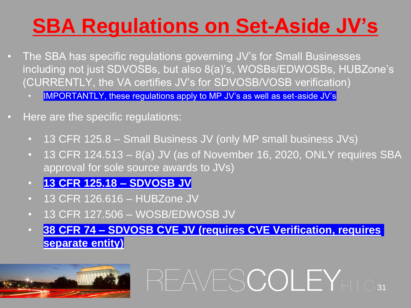#### **SBA Regulations on Set-Aside JV's**

- The SBA has specific regulations governing JV's for Small Businesses including not just SDVOSBs, but also 8(a)'s, WOSBs/EDWOSBs, HUBZone's (CURRENTLY, the VA certifies JV's for SDVOSB/VOSB verification)
	- IMPORTANTLY, these regulations apply to MP JV's as well as set-aside JV's
- Here are the specific regulations:
	- 13 CFR 125.8 Small Business JV (only MP small business JVs)
	- 13 CFR 124.513  $-$  8(a) JV (as of November 16, 2020, ONLY requires SBA approval for sole source awards to JVs)
	- **13 CFR 125.18 – SDVOSB JV**
	- 13 CFR 126.616 HUBZone JV
	- 13 CFR 127.506 WOSB/EDWOSB JV
	- **38 CFR 74 – SDVOSB CVE JV (requires CVE Verification, requires separate entity)**

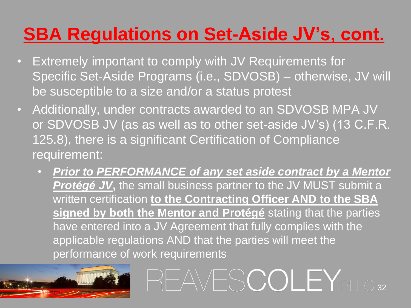#### **SBA Regulations on Set-Aside JV's, cont.**

- Extremely important to comply with JV Requirements for Specific Set-Aside Programs (i.e., SDVOSB) – otherwise, JV will be susceptible to a size and/or a status protest
- Additionally, under contracts awarded to an SDVOSB MPA JV or SDVOSB JV (as as well as to other set-aside JV's) (13 C.F.R. 125.8), there is a significant Certification of Compliance requirement:
	- *Prior to PERFORMANCE of any set aside contract by a Mentor*  **Protégé JV**, the small business partner to the JV MUST submit a written certification **to the Contracting Officer AND to the SBA signed by both the Mentor and Protégé** stating that the parties have entered into a JV Agreement that fully complies with the applicable regulations AND that the parties will meet the performance of work requirements

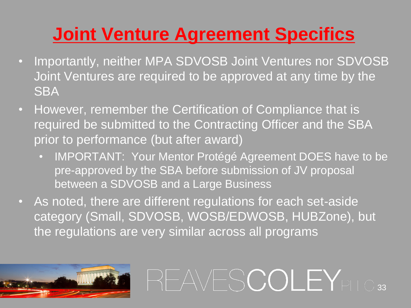#### **Joint Venture Agreement Specifics**

- Importantly, neither MPA SDVOSB Joint Ventures nor SDVOSB Joint Ventures are required to be approved at any time by the **SBA**
- However, remember the Certification of Compliance that is required be submitted to the Contracting Officer and the SBA prior to performance (but after award)
	- IMPORTANT: Your Mentor Protégé Agreement DOES have to be pre-approved by the SBA before submission of JV proposal between a SDVOSB and a Large Business

REAVESCOLEYPLLC33

• As noted, there are different regulations for each set-aside category (Small, SDVOSB, WOSB/EDWOSB, HUBZone), but the regulations are very similar across all programs

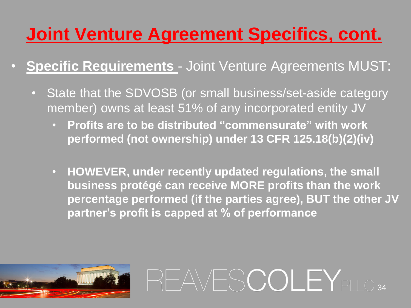#### **Joint Venture Agreement Specifics, cont.**

- **Specific Requirements**  Joint Venture Agreements MUST:
	- State that the SDVOSB (or small business/set-aside category member) owns at least 51% of any incorporated entity JV
		- **Profits are to be distributed "commensurate" with work performed (not ownership) under 13 CFR 125.18(b)(2)(iv)**
		- **HOWEVER, under recently updated regulations, the small business protégé can receive MORE profits than the work percentage performed (if the parties agree), BUT the other JV partner's profit is capped at % of performance**

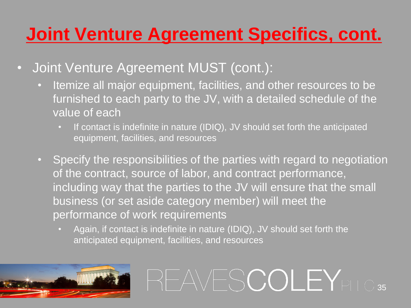#### **Joint Venture Agreement Specifics, cont.**

- Joint Venture Agreement MUST (cont.):
	- Itemize all major equipment, facilities, and other resources to be furnished to each party to the JV, with a detailed schedule of the value of each
		- If contact is indefinite in nature (IDIQ), JV should set forth the anticipated equipment, facilities, and resources
	- Specify the responsibilities of the parties with regard to negotiation of the contract, source of labor, and contract performance, including way that the parties to the JV will ensure that the small business (or set aside category member) will meet the performance of work requirements
		- Again, if contact is indefinite in nature (IDIQ), JV should set forth the anticipated equipment, facilities, and resources

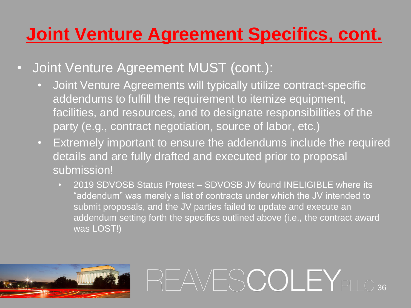#### **Joint Venture Agreement Specifics, cont.**

- Joint Venture Agreement MUST (cont.):
	- Joint Venture Agreements will typically utilize contract-specific addendums to fulfill the requirement to itemize equipment, facilities, and resources, and to designate responsibilities of the party (e.g., contract negotiation, source of labor, etc.)
	- Extremely important to ensure the addendums include the required details and are fully drafted and executed prior to proposal submission!
		- 2019 SDVOSB Status Protest SDVOSB JV found INELIGIBLE where its "addendum" was merely a list of contracts under which the JV intended to submit proposals, and the JV parties failed to update and execute an addendum setting forth the specifics outlined above (i.e., the contract award was LOST!)

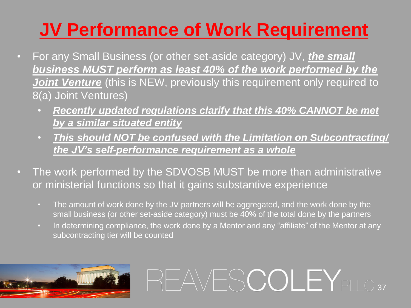#### **JV Performance of Work Requirement**

- For any Small Business (or other set-aside category) JV, *the small business MUST perform as least 40% of the work performed by the*  **Joint Venture** (this is NEW, previously this requirement only required to 8(a) Joint Ventures)
	- *Recently updated regulations clarify that this 40% CANNOT be met by a similar situated entity*
	- *This should NOT be confused with the Limitation on Subcontracting/ the JV's self-performance requirement as a whole*
- The work performed by the SDVOSB MUST be more than administrative or ministerial functions so that it gains substantive experience
	- The amount of work done by the JV partners will be aggregated, and the work done by the small business (or other set-aside category) must be 40% of the total done by the partners
	- In determining compliance, the work done by a Mentor and any "affiliate" of the Mentor at any subcontracting tier will be counted

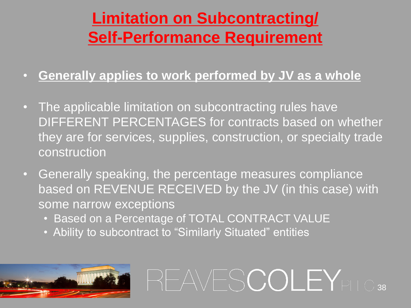#### **Limitation on Subcontracting/ Self-Performance Requirement**

- **Generally applies to work performed by JV as a whole**
- The applicable limitation on subcontracting rules have DIFFERENT PERCENTAGES for contracts based on whether they are for services, supplies, construction, or specialty trade construction
- Generally speaking, the percentage measures compliance based on REVENUE RECEIVED by the JV (in this case) with some narrow exceptions

- Based on a Percentage of TOTAL CONTRACT VALUE
- Ability to subcontract to "Similarly Situated" entities

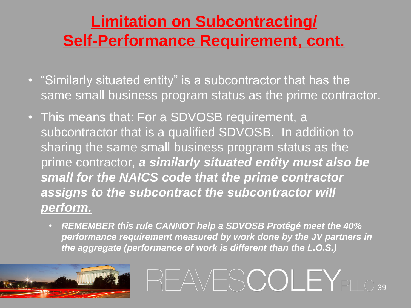#### **Limitation on Subcontracting/ Self-Performance Requirement, cont.**

- "Similarly situated entity" is a subcontractor that has the same small business program status as the prime contractor.
- This means that: For a SDVOSB requirement, a subcontractor that is a qualified SDVOSB. In addition to sharing the same small business program status as the prime contractor, *a similarly situated entity must also be small for the NAICS code that the prime contractor assigns to the subcontract the subcontractor will perform.*
	- *REMEMBER this rule CANNOT help a SDVOSB Protégé meet the 40% performance requirement measured by work done by the JV partners in the aggregate (performance of work is different than the L.O.S.)*

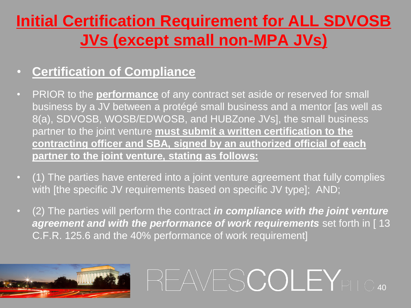#### **Initial Certification Requirement for ALL SDVOSB JVs (except small non-MPA JVs)**

#### • **Certification of Compliance**

- PRIOR to the **performance** of any contract set aside or reserved for small business by a JV between a protégé small business and a mentor [as well as 8(a), SDVOSB, WOSB/EDWOSB, and HUBZone JVs], the small business partner to the joint venture **must submit a written certification to the contracting officer and SBA, signed by an authorized official of each partner to the joint venture, stating as follows:**
- (1) The parties have entered into a joint venture agreement that fully complies with [the specific JV requirements based on specific JV type]; AND;
- (2) The parties will perform the contract *in compliance with the joint venture agreement and with the performance of work requirements* set forth in [ 13 C.F.R. 125.6 and the 40% performance of work requirement]

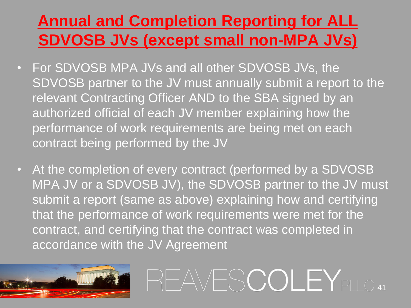#### **Annual and Completion Reporting for ALL SDVOSB JVs (except small non-MPA JVs)**

- For SDVOSB MPA JVs and all other SDVOSB JVs, the SDVOSB partner to the JV must annually submit a report to the relevant Contracting Officer AND to the SBA signed by an authorized official of each JV member explaining how the performance of work requirements are being met on each contract being performed by the JV
- At the completion of every contract (performed by a SDVOSB MPA JV or a SDVOSB JV), the SDVOSB partner to the JV must submit a report (same as above) explaining how and certifying that the performance of work requirements were met for the contract, and certifying that the contract was completed in accordance with the JV Agreement

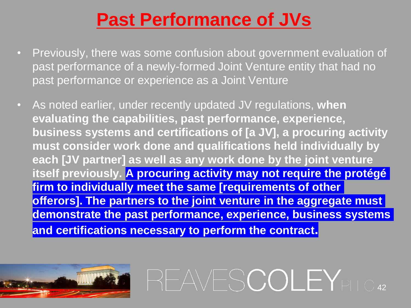#### **Past Performance of JVs**

- Previously, there was some confusion about government evaluation of past performance of a newly-formed Joint Venture entity that had no past performance or experience as a Joint Venture
- As noted earlier, under recently updated JV regulations, **when evaluating the capabilities, past performance, experience, business systems and certifications of [a JV], a procuring activity must consider work done and qualifications held individually by each [JV partner] as well as any work done by the joint venture itself previously. A procuring activity may not require the protégé firm to individually meet the same [requirements of other offerors]. The partners to the joint venture in the aggregate must demonstrate the past performance, experience, business systems and certifications necessary to perform the contract.**

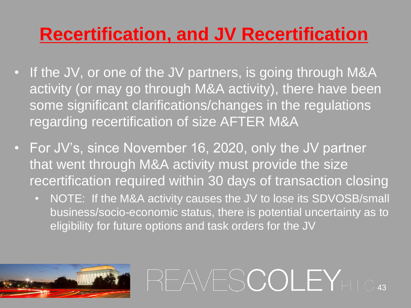#### **Recertification, and JV Recertification**

- If the JV, or one of the JV partners, is going through M&A activity (or may go through M&A activity), there have been some significant clarifications/changes in the regulations regarding recertification of size AFTER M&A
- For JV's, since November 16, 2020, only the JV partner that went through M&A activity must provide the size recertification required within 30 days of transaction closing
	- NOTE: If the M&A activity causes the JV to lose its SDVOSB/small business/socio-economic status, there is potential uncertainty as to eligibility for future options and task orders for the JV



REAVESCOLEY<sub>PLLC43</sub>